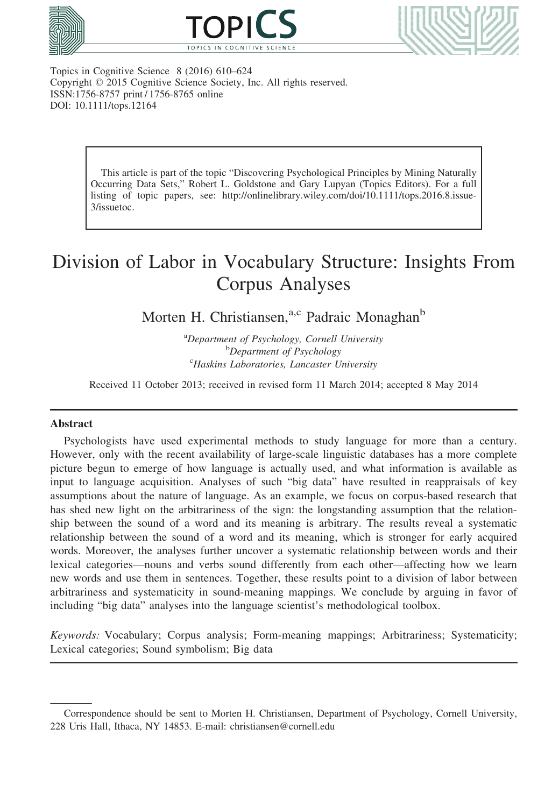





Topics in Cognitive Science 8 (2016) 610–624 Copyright © 2015 Cognitive Science Society, Inc. All rights reserved. ISSN:1756-8757 print / 1756-8765 online DOI: 10.1111/tops.12164

> This article is part of the topic "Discovering Psychological Principles by Mining Naturally Occurring Data Sets," Robert L. Goldstone and Gary Lupyan (Topics Editors). For a full listing of topic papers, see: [http://onlinelibrary.wiley.com/doi/10.1111/tops.2016.8.issue-](http://onlinelibrary.wiley.com/doi/10.1111/tops.2016.8.issue-3/issuetoc)[3/issuetoc.](http://onlinelibrary.wiley.com/doi/10.1111/tops.2016.8.issue-3/issuetoc)

# Division of Labor in Vocabulary Structure: Insights From Corpus Analyses

Morten H. Christiansen,<sup>a,c</sup> Padraic Monaghan<sup>b</sup>

<sup>a</sup>Department of Psychology, Cornell University<br><sup>b</sup>Department of Psychology <sup>b</sup>Department of Psychology<br><sup>c</sup>Haskins Laboratories, Lancaster University<sup>c</sup>

Received 11 October 2013; received in revised form 11 March 2014; accepted 8 May 2014

#### Abstract

Psychologists have used experimental methods to study language for more than a century. However, only with the recent availability of large-scale linguistic databases has a more complete picture begun to emerge of how language is actually used, and what information is available as input to language acquisition. Analyses of such "big data" have resulted in reappraisals of key assumptions about the nature of language. As an example, we focus on corpus-based research that has shed new light on the arbitrariness of the sign: the longstanding assumption that the relationship between the sound of a word and its meaning is arbitrary. The results reveal a systematic relationship between the sound of a word and its meaning, which is stronger for early acquired words. Moreover, the analyses further uncover a systematic relationship between words and their lexical categories—nouns and verbs sound differently from each other—affecting how we learn new words and use them in sentences. Together, these results point to a division of labor between arbitrariness and systematicity in sound-meaning mappings. We conclude by arguing in favor of including "big data" analyses into the language scientist's methodological toolbox.

Keywords: Vocabulary; Corpus analysis; Form-meaning mappings; Arbitrariness; Systematicity; Lexical categories; Sound symbolism; Big data

Correspondence should be sent to Morten H. Christiansen, Department of Psychology, Cornell University, 228 Uris Hall, Ithaca, NY 14853. E-mail: christiansen@cornell.edu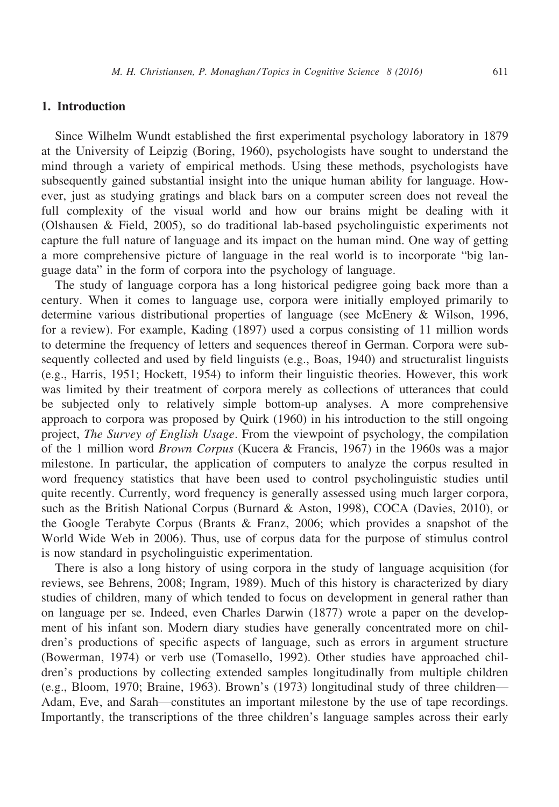## 1. Introduction

Since Wilhelm Wundt established the first experimental psychology laboratory in 1879 at the University of Leipzig (Boring, 1960), psychologists have sought to understand the mind through a variety of empirical methods. Using these methods, psychologists have subsequently gained substantial insight into the unique human ability for language. However, just as studying gratings and black bars on a computer screen does not reveal the full complexity of the visual world and how our brains might be dealing with it (Olshausen & Field, 2005), so do traditional lab-based psycholinguistic experiments not capture the full nature of language and its impact on the human mind. One way of getting a more comprehensive picture of language in the real world is to incorporate "big language data" in the form of corpora into the psychology of language.

The study of language corpora has a long historical pedigree going back more than a century. When it comes to language use, corpora were initially employed primarily to determine various distributional properties of language (see McEnery & Wilson, 1996, for a review). For example, Kading (1897) used a corpus consisting of 11 million words to determine the frequency of letters and sequences thereof in German. Corpora were subsequently collected and used by field linguists (e.g., Boas, 1940) and structuralist linguists (e.g., Harris, 1951; Hockett, 1954) to inform their linguistic theories. However, this work was limited by their treatment of corpora merely as collections of utterances that could be subjected only to relatively simple bottom-up analyses. A more comprehensive approach to corpora was proposed by Quirk (1960) in his introduction to the still ongoing project, The Survey of English Usage. From the viewpoint of psychology, the compilation of the 1 million word Brown Corpus (Kucera & Francis, 1967) in the 1960s was a major milestone. In particular, the application of computers to analyze the corpus resulted in word frequency statistics that have been used to control psycholinguistic studies until quite recently. Currently, word frequency is generally assessed using much larger corpora, such as the British National Corpus (Burnard & Aston, 1998), COCA (Davies, 2010), or the Google Terabyte Corpus (Brants & Franz, 2006; which provides a snapshot of the World Wide Web in 2006). Thus, use of corpus data for the purpose of stimulus control is now standard in psycholinguistic experimentation.

There is also a long history of using corpora in the study of language acquisition (for reviews, see Behrens, 2008; Ingram, 1989). Much of this history is characterized by diary studies of children, many of which tended to focus on development in general rather than on language per se. Indeed, even Charles Darwin (1877) wrote a paper on the development of his infant son. Modern diary studies have generally concentrated more on children's productions of specific aspects of language, such as errors in argument structure (Bowerman, 1974) or verb use (Tomasello, 1992). Other studies have approached children's productions by collecting extended samples longitudinally from multiple children (e.g., Bloom, 1970; Braine, 1963). Brown's (1973) longitudinal study of three children— Adam, Eve, and Sarah—constitutes an important milestone by the use of tape recordings. Importantly, the transcriptions of the three children's language samples across their early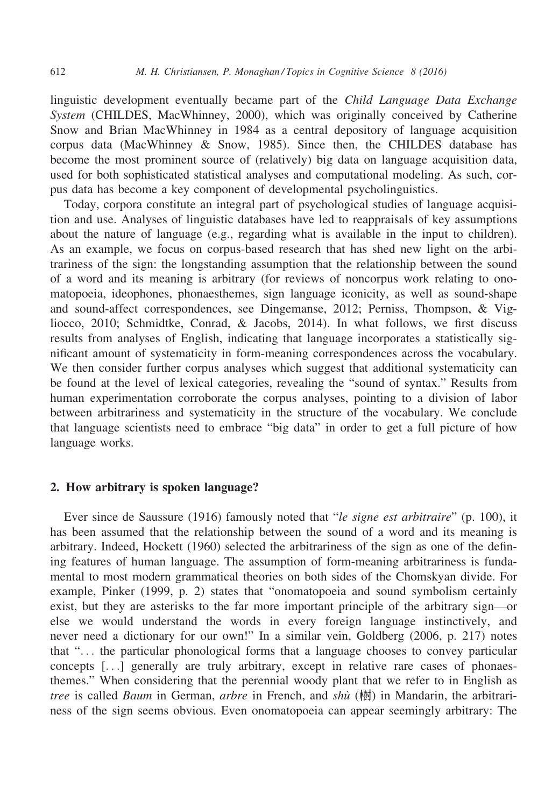linguistic development eventually became part of the Child Language Data Exchange System (CHILDES, MacWhinney, 2000), which was originally conceived by Catherine Snow and Brian MacWhinney in 1984 as a central depository of language acquisition corpus data (MacWhinney & Snow, 1985). Since then, the CHILDES database has become the most prominent source of (relatively) big data on language acquisition data, used for both sophisticated statistical analyses and computational modeling. As such, corpus data has become a key component of developmental psycholinguistics.

Today, corpora constitute an integral part of psychological studies of language acquisition and use. Analyses of linguistic databases have led to reappraisals of key assumptions about the nature of language (e.g., regarding what is available in the input to children). As an example, we focus on corpus-based research that has shed new light on the arbitrariness of the sign: the longstanding assumption that the relationship between the sound of a word and its meaning is arbitrary (for reviews of noncorpus work relating to onomatopoeia, ideophones, phonaesthemes, sign language iconicity, as well as sound-shape and sound-affect correspondences, see Dingemanse, 2012; Perniss, Thompson, & Vigliocco, 2010; Schmidtke, Conrad, & Jacobs, 2014). In what follows, we first discuss results from analyses of English, indicating that language incorporates a statistically significant amount of systematicity in form-meaning correspondences across the vocabulary. We then consider further corpus analyses which suggest that additional systematicity can be found at the level of lexical categories, revealing the "sound of syntax." Results from human experimentation corroborate the corpus analyses, pointing to a division of labor between arbitrariness and systematicity in the structure of the vocabulary. We conclude that language scientists need to embrace "big data" in order to get a full picture of how language works.

## 2. How arbitrary is spoken language?

Ever since de Saussure (1916) famously noted that "le signe est arbitraire" (p. 100), it has been assumed that the relationship between the sound of a word and its meaning is arbitrary. Indeed, Hockett (1960) selected the arbitrariness of the sign as one of the defining features of human language. The assumption of form-meaning arbitrariness is fundamental to most modern grammatical theories on both sides of the Chomskyan divide. For example, Pinker (1999, p. 2) states that "onomatopoeia and sound symbolism certainly exist, but they are asterisks to the far more important principle of the arbitrary sign—or else we would understand the words in every foreign language instinctively, and never need a dictionary for our own!" In a similar vein, Goldberg (2006, p. 217) notes that "... the particular phonological forms that a language chooses to convey particular concepts [...] generally are truly arbitrary, except in relative rare cases of phonaesthemes." When considering that the perennial woody plant that we refer to in English as tree is called *Baum* in German, *arbre* in French, and *shù* (樹) in Mandarin, the arbitrariness of the sign seems obvious. Even onomatopoeia can appear seemingly arbitrary: The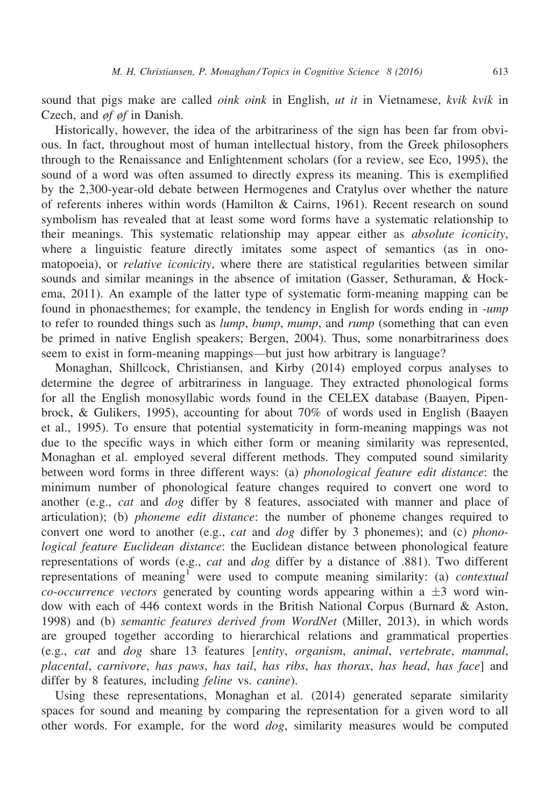sound that pigs make are called *oink oink* in English, *ut it* in Vietnamese, *kvik kvik* in Czech, and øf øf in Danish.

Historically, however, the idea of the arbitrariness of the sign has been far from obvious. In fact, throughout most of human intellectual history, from the Greek philosophers through to the Renaissance and Enlightenment scholars (for a review, see Eco, 1995), the sound of a word was often assumed to directly express its meaning. This is exemplified by the 2,300-year-old debate between Hermogenes and Cratylus over whether the nature of referents inheres within words (Hamilton & Cairns, 1961). Recent research on sound symbolism has revealed that at least some word forms have a systematic relationship to their meanings. This systematic relationship may appear either as absolute iconicity, where a linguistic feature directly imitates some aspect of semantics (as in onomatopoeia), or *relative iconicity*, where there are statistical regularities between similar sounds and similar meanings in the absence of imitation (Gasser, Sethuraman, & Hockema, 2011). An example of the latter type of systematic form-meaning mapping can be found in phonaesthemes; for example, the tendency in English for words ending in -ump to refer to rounded things such as *lump*, *bump*, *mump*, and *rump* (something that can even be primed in native English speakers; Bergen, 2004). Thus, some nonarbitrariness does seem to exist in form-meaning mappings—but just how arbitrary is language?

Monaghan, Shillcock, Christiansen, and Kirby (2014) employed corpus analyses to determine the degree of arbitrariness in language. They extracted phonological forms for all the English monosyllabic words found in the CELEX database (Baayen, Pipenbrock, & Gulikers, 1995), accounting for about 70% of words used in English (Baayen et al., 1995). To ensure that potential systematicity in form-meaning mappings was not due to the specific ways in which either form or meaning similarity was represented, Monaghan et al. employed several different methods. They computed sound similarity between word forms in three different ways: (a) phonological feature edit distance: the minimum number of phonological feature changes required to convert one word to another (e.g., cat and dog differ by 8 features, associated with manner and place of articulation); (b) phoneme edit distance: the number of phoneme changes required to convert one word to another (e.g., *cat* and  $\log$  differ by 3 phonemes); and (c) *phono*logical feature Euclidean distance: the Euclidean distance between phonological feature representations of words (e.g., cat and dog differ by a distance of .881). Two different representations of meaning<sup>1</sup> were used to compute meaning similarity: (a) *contextual* co-occurrence vectors generated by counting words appearing within a  $\pm 3$  word window with each of 446 context words in the British National Corpus (Burnard & Aston, 1998) and (b) semantic features derived from WordNet (Miller, 2013), in which words are grouped together according to hierarchical relations and grammatical properties (e.g., cat and dog share 13 features [entity, organism, animal, vertebrate, mammal, placental, carnivore, has paws, has tail, has ribs, has thorax, has head, has face] and differ by 8 features, including *feline* vs. *canine*).

Using these representations, Monaghan et al. (2014) generated separate similarity spaces for sound and meaning by comparing the representation for a given word to all other words. For example, for the word dog, similarity measures would be computed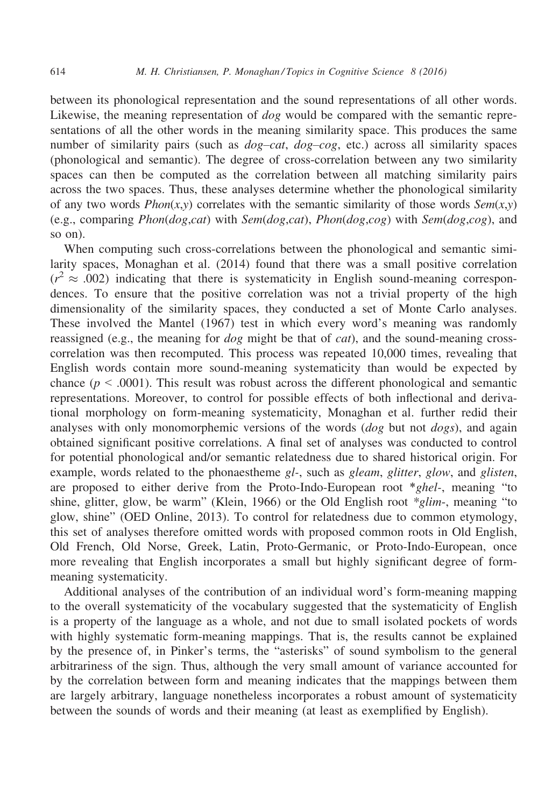between its phonological representation and the sound representations of all other words. Likewise, the meaning representation of  $\log$  would be compared with the semantic representations of all the other words in the meaning similarity space. This produces the same number of similarity pairs (such as  $dog-cat$ ,  $dog-cog$ , etc.) across all similarity spaces (phonological and semantic). The degree of cross-correlation between any two similarity spaces can then be computed as the correlation between all matching similarity pairs across the two spaces. Thus, these analyses determine whether the phonological similarity of any two words  $Phon(x,y)$  correlates with the semantic similarity of those words  $Sem(x,y)$ (e.g., comparing  $Phon(dog,cat)$  with  $Sem(dog,cat)$ ,  $Phon(dog, cog)$  with  $Sem(dog, cog)$ , and so on).

When computing such cross-correlations between the phonological and semantic similarity spaces, Monaghan et al. (2014) found that there was a small positive correlation  $(r^2 \approx .002)$  indicating that there is systematicity in English sound-meaning correspondences. To ensure that the positive correlation was not a trivial property of the high dimensionality of the similarity spaces, they conducted a set of Monte Carlo analyses. These involved the Mantel (1967) test in which every word's meaning was randomly reassigned (e.g., the meaning for  $\log$  might be that of *cat*), and the sound-meaning crosscorrelation was then recomputed. This process was repeated 10,000 times, revealing that English words contain more sound-meaning systematicity than would be expected by chance ( $p < .0001$ ). This result was robust across the different phonological and semantic representations. Moreover, to control for possible effects of both inflectional and derivational morphology on form-meaning systematicity, Monaghan et al. further redid their analyses with only monomorphemic versions of the words  $(dog$  but not  $dogs$ ), and again obtained significant positive correlations. A final set of analyses was conducted to control for potential phonological and/or semantic relatedness due to shared historical origin. For example, words related to the phonaestheme  $gl-$ , such as *gleam*, *glitter*, *glow*, and *glisten*, are proposed to either derive from the Proto-Indo-European root \*ghel-, meaning "to shine, glitter, glow, be warm" (Klein, 1966) or the Old English root \*glim-, meaning "to glow, shine" (OED Online, 2013). To control for relatedness due to common etymology, this set of analyses therefore omitted words with proposed common roots in Old English, Old French, Old Norse, Greek, Latin, Proto-Germanic, or Proto-Indo-European, once more revealing that English incorporates a small but highly significant degree of formmeaning systematicity.

Additional analyses of the contribution of an individual word's form-meaning mapping to the overall systematicity of the vocabulary suggested that the systematicity of English is a property of the language as a whole, and not due to small isolated pockets of words with highly systematic form-meaning mappings. That is, the results cannot be explained by the presence of, in Pinker's terms, the "asterisks" of sound symbolism to the general arbitrariness of the sign. Thus, although the very small amount of variance accounted for by the correlation between form and meaning indicates that the mappings between them are largely arbitrary, language nonetheless incorporates a robust amount of systematicity between the sounds of words and their meaning (at least as exemplified by English).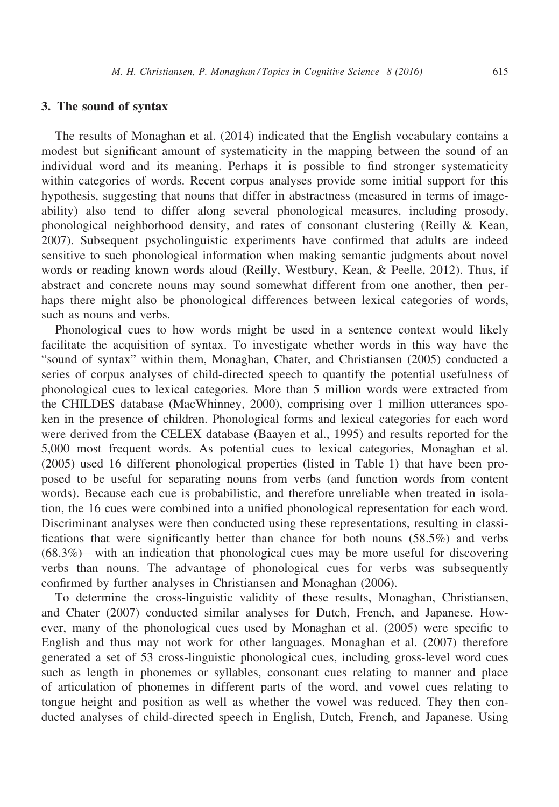The results of Monaghan et al. (2014) indicated that the English vocabulary contains a modest but significant amount of systematicity in the mapping between the sound of an individual word and its meaning. Perhaps it is possible to find stronger systematicity within categories of words. Recent corpus analyses provide some initial support for this hypothesis, suggesting that nouns that differ in abstractness (measured in terms of imageability) also tend to differ along several phonological measures, including prosody, phonological neighborhood density, and rates of consonant clustering (Reilly & Kean, 2007). Subsequent psycholinguistic experiments have confirmed that adults are indeed sensitive to such phonological information when making semantic judgments about novel words or reading known words aloud (Reilly, Westbury, Kean, & Peelle, 2012). Thus, if abstract and concrete nouns may sound somewhat different from one another, then perhaps there might also be phonological differences between lexical categories of words, such as nouns and verbs.

Phonological cues to how words might be used in a sentence context would likely facilitate the acquisition of syntax. To investigate whether words in this way have the "sound of syntax" within them, Monaghan, Chater, and Christiansen (2005) conducted a series of corpus analyses of child-directed speech to quantify the potential usefulness of phonological cues to lexical categories. More than 5 million words were extracted from the CHILDES database (MacWhinney, 2000), comprising over 1 million utterances spoken in the presence of children. Phonological forms and lexical categories for each word were derived from the CELEX database (Baayen et al., 1995) and results reported for the 5,000 most frequent words. As potential cues to lexical categories, Monaghan et al. (2005) used 16 different phonological properties (listed in Table 1) that have been proposed to be useful for separating nouns from verbs (and function words from content words). Because each cue is probabilistic, and therefore unreliable when treated in isolation, the 16 cues were combined into a unified phonological representation for each word. Discriminant analyses were then conducted using these representations, resulting in classifications that were significantly better than chance for both nouns (58.5%) and verbs (68.3%)—with an indication that phonological cues may be more useful for discovering verbs than nouns. The advantage of phonological cues for verbs was subsequently confirmed by further analyses in Christiansen and Monaghan (2006).

To determine the cross-linguistic validity of these results, Monaghan, Christiansen, and Chater (2007) conducted similar analyses for Dutch, French, and Japanese. However, many of the phonological cues used by Monaghan et al. (2005) were specific to English and thus may not work for other languages. Monaghan et al. (2007) therefore generated a set of 53 cross-linguistic phonological cues, including gross-level word cues such as length in phonemes or syllables, consonant cues relating to manner and place of articulation of phonemes in different parts of the word, and vowel cues relating to tongue height and position as well as whether the vowel was reduced. They then conducted analyses of child-directed speech in English, Dutch, French, and Japanese. Using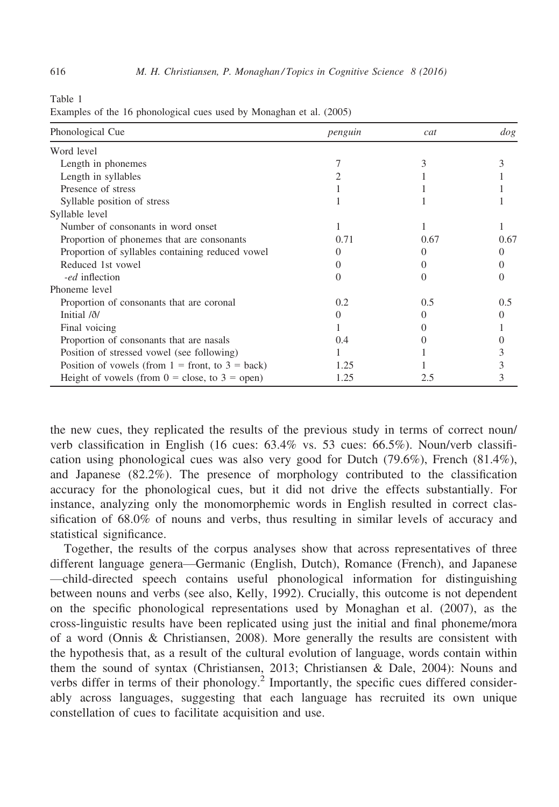| I able |  |  |  |
|--------|--|--|--|
|--------|--|--|--|

Examples of the 16 phonological cues used by Monaghan et al. (2005)

| Phonological Cue                                     | penguin | cat  | $\log$ |
|------------------------------------------------------|---------|------|--------|
| Word level                                           |         |      |        |
| Length in phonemes                                   |         |      |        |
| Length in syllables                                  |         |      |        |
| Presence of stress                                   |         |      |        |
| Syllable position of stress                          |         |      |        |
| Syllable level                                       |         |      |        |
| Number of consonants in word onset                   |         |      |        |
| Proportion of phonemes that are consonants           | 0.71    | 0.67 | 0.67   |
| Proportion of syllables containing reduced vowel     |         |      |        |
| Reduced 1st vowel                                    |         |      |        |
| <i>ed</i> inflection                                 |         |      |        |
| Phoneme level                                        |         |      |        |
| Proportion of consonants that are coronal            | 0.2     | 0.5  | 0.5    |
| Initial /ð/                                          |         |      |        |
| Final voicing                                        |         |      |        |
| Proportion of consonants that are nasals             | 0.4     |      |        |
| Position of stressed vowel (see following)           |         |      |        |
| Position of vowels (from $1 =$ front, to $3 =$ back) | 1.25    |      |        |
| Height of vowels (from $0 =$ close, to $3 =$ open)   | 1.25    | 2.5  |        |

the new cues, they replicated the results of the previous study in terms of correct noun/ verb classification in English (16 cues: 63.4% vs. 53 cues: 66.5%). Noun/verb classification using phonological cues was also very good for Dutch (79.6%), French (81.4%), and Japanese (82.2%). The presence of morphology contributed to the classification accuracy for the phonological cues, but it did not drive the effects substantially. For instance, analyzing only the monomorphemic words in English resulted in correct classification of 68.0% of nouns and verbs, thus resulting in similar levels of accuracy and statistical significance.

Together, the results of the corpus analyses show that across representatives of three different language genera—Germanic (English, Dutch), Romance (French), and Japanese —child-directed speech contains useful phonological information for distinguishing between nouns and verbs (see also, Kelly, 1992). Crucially, this outcome is not dependent on the specific phonological representations used by Monaghan et al. (2007), as the cross-linguistic results have been replicated using just the initial and final phoneme/mora of a word (Onnis & Christiansen, 2008). More generally the results are consistent with the hypothesis that, as a result of the cultural evolution of language, words contain within them the sound of syntax (Christiansen, 2013; Christiansen & Dale, 2004): Nouns and verbs differ in terms of their phonology.<sup>2</sup> Importantly, the specific cues differed considerably across languages, suggesting that each language has recruited its own unique constellation of cues to facilitate acquisition and use.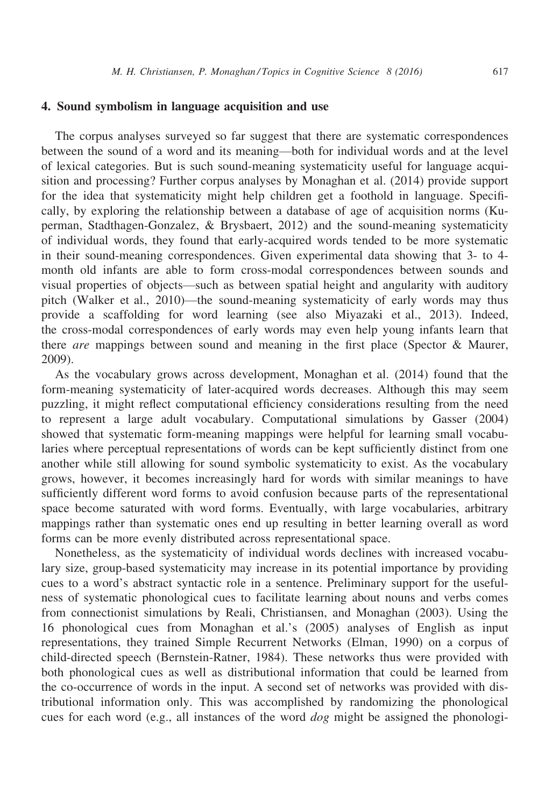# 4. Sound symbolism in language acquisition and use

The corpus analyses surveyed so far suggest that there are systematic correspondences between the sound of a word and its meaning—both for individual words and at the level of lexical categories. But is such sound-meaning systematicity useful for language acquisition and processing? Further corpus analyses by Monaghan et al. (2014) provide support for the idea that systematicity might help children get a foothold in language. Specifically, by exploring the relationship between a database of age of acquisition norms (Kuperman, Stadthagen-Gonzalez, & Brysbaert, 2012) and the sound-meaning systematicity of individual words, they found that early-acquired words tended to be more systematic in their sound-meaning correspondences. Given experimental data showing that 3- to 4 month old infants are able to form cross-modal correspondences between sounds and visual properties of objects—such as between spatial height and angularity with auditory pitch (Walker et al., 2010)—the sound-meaning systematicity of early words may thus provide a scaffolding for word learning (see also Miyazaki et al., 2013). Indeed, the cross-modal correspondences of early words may even help young infants learn that there are mappings between sound and meaning in the first place (Spector & Maurer, 2009).

As the vocabulary grows across development, Monaghan et al. (2014) found that the form-meaning systematicity of later-acquired words decreases. Although this may seem puzzling, it might reflect computational efficiency considerations resulting from the need to represent a large adult vocabulary. Computational simulations by Gasser (2004) showed that systematic form-meaning mappings were helpful for learning small vocabularies where perceptual representations of words can be kept sufficiently distinct from one another while still allowing for sound symbolic systematicity to exist. As the vocabulary grows, however, it becomes increasingly hard for words with similar meanings to have sufficiently different word forms to avoid confusion because parts of the representational space become saturated with word forms. Eventually, with large vocabularies, arbitrary mappings rather than systematic ones end up resulting in better learning overall as word forms can be more evenly distributed across representational space.

Nonetheless, as the systematicity of individual words declines with increased vocabulary size, group-based systematicity may increase in its potential importance by providing cues to a word's abstract syntactic role in a sentence. Preliminary support for the usefulness of systematic phonological cues to facilitate learning about nouns and verbs comes from connectionist simulations by Reali, Christiansen, and Monaghan (2003). Using the 16 phonological cues from Monaghan et al.'s (2005) analyses of English as input representations, they trained Simple Recurrent Networks (Elman, 1990) on a corpus of child-directed speech (Bernstein-Ratner, 1984). These networks thus were provided with both phonological cues as well as distributional information that could be learned from the co-occurrence of words in the input. A second set of networks was provided with distributional information only. This was accomplished by randomizing the phonological cues for each word (e.g., all instances of the word dog might be assigned the phonologi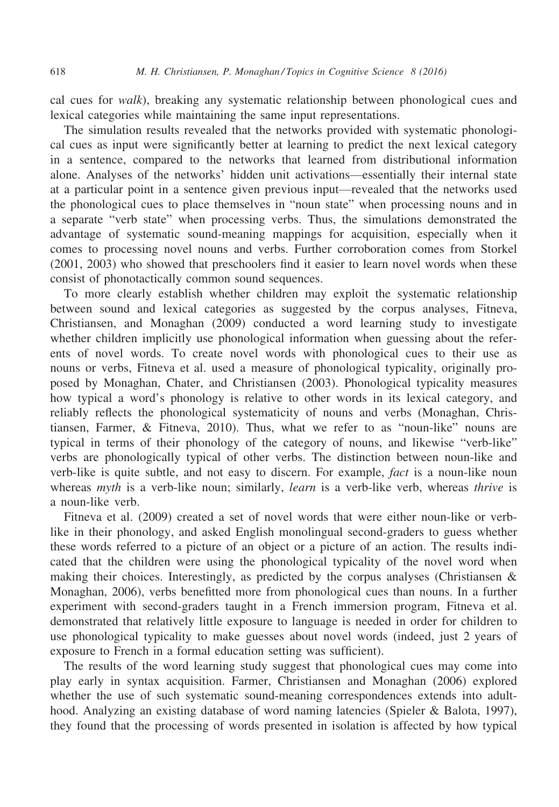cal cues for walk), breaking any systematic relationship between phonological cues and lexical categories while maintaining the same input representations.

The simulation results revealed that the networks provided with systematic phonological cues as input were significantly better at learning to predict the next lexical category in a sentence, compared to the networks that learned from distributional information alone. Analyses of the networks' hidden unit activations—essentially their internal state at a particular point in a sentence given previous input—revealed that the networks used the phonological cues to place themselves in "noun state" when processing nouns and in a separate "verb state" when processing verbs. Thus, the simulations demonstrated the advantage of systematic sound-meaning mappings for acquisition, especially when it comes to processing novel nouns and verbs. Further corroboration comes from Storkel (2001, 2003) who showed that preschoolers find it easier to learn novel words when these consist of phonotactically common sound sequences.

To more clearly establish whether children may exploit the systematic relationship between sound and lexical categories as suggested by the corpus analyses, Fitneva, Christiansen, and Monaghan (2009) conducted a word learning study to investigate whether children implicitly use phonological information when guessing about the referents of novel words. To create novel words with phonological cues to their use as nouns or verbs, Fitneva et al. used a measure of phonological typicality, originally proposed by Monaghan, Chater, and Christiansen (2003). Phonological typicality measures how typical a word's phonology is relative to other words in its lexical category, and reliably reflects the phonological systematicity of nouns and verbs (Monaghan, Christiansen, Farmer, & Fitneva, 2010). Thus, what we refer to as "noun-like" nouns are typical in terms of their phonology of the category of nouns, and likewise "verb-like" verbs are phonologically typical of other verbs. The distinction between noun-like and verb-like is quite subtle, and not easy to discern. For example, fact is a noun-like noun whereas myth is a verb-like noun; similarly, *learn* is a verb-like verb, whereas *thrive* is a noun-like verb.

Fitneva et al. (2009) created a set of novel words that were either noun-like or verblike in their phonology, and asked English monolingual second-graders to guess whether these words referred to a picture of an object or a picture of an action. The results indicated that the children were using the phonological typicality of the novel word when making their choices. Interestingly, as predicted by the corpus analyses (Christiansen  $\&$ Monaghan, 2006), verbs benefitted more from phonological cues than nouns. In a further experiment with second-graders taught in a French immersion program, Fitneva et al. demonstrated that relatively little exposure to language is needed in order for children to use phonological typicality to make guesses about novel words (indeed, just 2 years of exposure to French in a formal education setting was sufficient).

The results of the word learning study suggest that phonological cues may come into play early in syntax acquisition. Farmer, Christiansen and Monaghan (2006) explored whether the use of such systematic sound-meaning correspondences extends into adulthood. Analyzing an existing database of word naming latencies (Spieler & Balota, 1997), they found that the processing of words presented in isolation is affected by how typical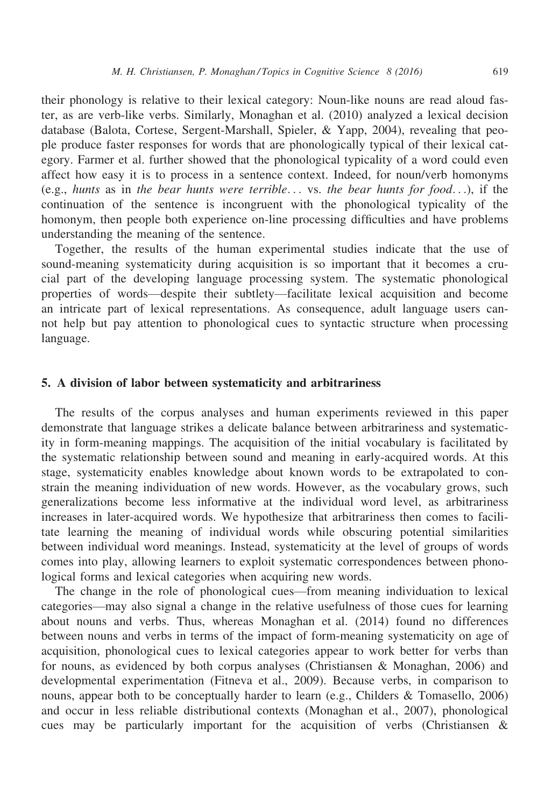their phonology is relative to their lexical category: Noun-like nouns are read aloud faster, as are verb-like verbs. Similarly, Monaghan et al. (2010) analyzed a lexical decision database (Balota, Cortese, Sergent-Marshall, Spieler, & Yapp, 2004), revealing that people produce faster responses for words that are phonologically typical of their lexical category. Farmer et al. further showed that the phonological typicality of a word could even affect how easy it is to process in a sentence context. Indeed, for noun/verb homonyms (e.g., hunts as in the bear hunts were terrible... vs. the bear hunts for food...), if the continuation of the sentence is incongruent with the phonological typicality of the homonym, then people both experience on-line processing difficulties and have problems understanding the meaning of the sentence.

Together, the results of the human experimental studies indicate that the use of sound-meaning systematicity during acquisition is so important that it becomes a crucial part of the developing language processing system. The systematic phonological properties of words—despite their subtlety—facilitate lexical acquisition and become an intricate part of lexical representations. As consequence, adult language users cannot help but pay attention to phonological cues to syntactic structure when processing language.

# 5. A division of labor between systematicity and arbitrariness

The results of the corpus analyses and human experiments reviewed in this paper demonstrate that language strikes a delicate balance between arbitrariness and systematicity in form-meaning mappings. The acquisition of the initial vocabulary is facilitated by the systematic relationship between sound and meaning in early-acquired words. At this stage, systematicity enables knowledge about known words to be extrapolated to constrain the meaning individuation of new words. However, as the vocabulary grows, such generalizations become less informative at the individual word level, as arbitrariness increases in later-acquired words. We hypothesize that arbitrariness then comes to facilitate learning the meaning of individual words while obscuring potential similarities between individual word meanings. Instead, systematicity at the level of groups of words comes into play, allowing learners to exploit systematic correspondences between phonological forms and lexical categories when acquiring new words.

The change in the role of phonological cues—from meaning individuation to lexical categories—may also signal a change in the relative usefulness of those cues for learning about nouns and verbs. Thus, whereas Monaghan et al. (2014) found no differences between nouns and verbs in terms of the impact of form-meaning systematicity on age of acquisition, phonological cues to lexical categories appear to work better for verbs than for nouns, as evidenced by both corpus analyses (Christiansen & Monaghan, 2006) and developmental experimentation (Fitneva et al., 2009). Because verbs, in comparison to nouns, appear both to be conceptually harder to learn (e.g., Childers & Tomasello, 2006) and occur in less reliable distributional contexts (Monaghan et al., 2007), phonological cues may be particularly important for the acquisition of verbs (Christiansen &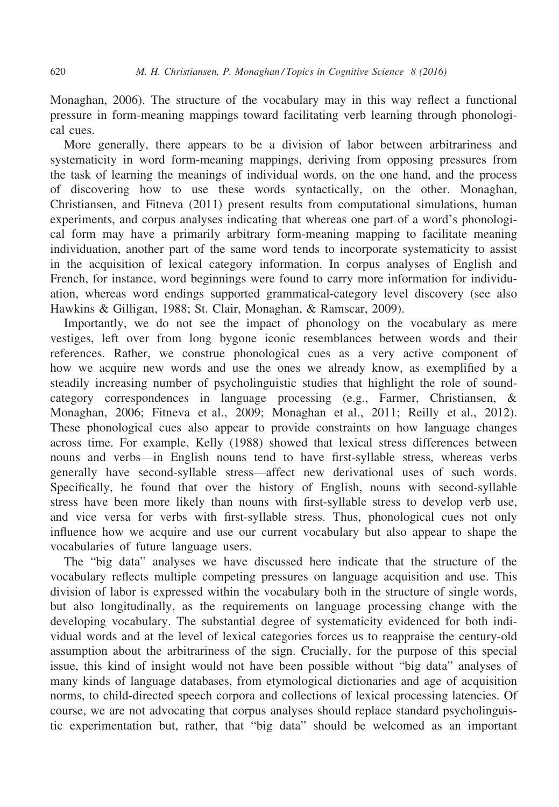Monaghan, 2006). The structure of the vocabulary may in this way reflect a functional pressure in form-meaning mappings toward facilitating verb learning through phonological cues.

More generally, there appears to be a division of labor between arbitrariness and systematicity in word form-meaning mappings, deriving from opposing pressures from the task of learning the meanings of individual words, on the one hand, and the process of discovering how to use these words syntactically, on the other. Monaghan, Christiansen, and Fitneva (2011) present results from computational simulations, human experiments, and corpus analyses indicating that whereas one part of a word's phonological form may have a primarily arbitrary form-meaning mapping to facilitate meaning individuation, another part of the same word tends to incorporate systematicity to assist in the acquisition of lexical category information. In corpus analyses of English and French, for instance, word beginnings were found to carry more information for individuation, whereas word endings supported grammatical-category level discovery (see also Hawkins & Gilligan, 1988; St. Clair, Monaghan, & Ramscar, 2009).

Importantly, we do not see the impact of phonology on the vocabulary as mere vestiges, left over from long bygone iconic resemblances between words and their references. Rather, we construe phonological cues as a very active component of how we acquire new words and use the ones we already know, as exemplified by a steadily increasing number of psycholinguistic studies that highlight the role of soundcategory correspondences in language processing (e.g., Farmer, Christiansen, & Monaghan, 2006; Fitneva et al., 2009; Monaghan et al., 2011; Reilly et al., 2012). These phonological cues also appear to provide constraints on how language changes across time. For example, Kelly (1988) showed that lexical stress differences between nouns and verbs—in English nouns tend to have first-syllable stress, whereas verbs generally have second-syllable stress—affect new derivational uses of such words. Specifically, he found that over the history of English, nouns with second-syllable stress have been more likely than nouns with first-syllable stress to develop verb use, and vice versa for verbs with first-syllable stress. Thus, phonological cues not only influence how we acquire and use our current vocabulary but also appear to shape the vocabularies of future language users.

The "big data" analyses we have discussed here indicate that the structure of the vocabulary reflects multiple competing pressures on language acquisition and use. This division of labor is expressed within the vocabulary both in the structure of single words, but also longitudinally, as the requirements on language processing change with the developing vocabulary. The substantial degree of systematicity evidenced for both individual words and at the level of lexical categories forces us to reappraise the century-old assumption about the arbitrariness of the sign. Crucially, for the purpose of this special issue, this kind of insight would not have been possible without "big data" analyses of many kinds of language databases, from etymological dictionaries and age of acquisition norms, to child-directed speech corpora and collections of lexical processing latencies. Of course, we are not advocating that corpus analyses should replace standard psycholinguistic experimentation but, rather, that "big data" should be welcomed as an important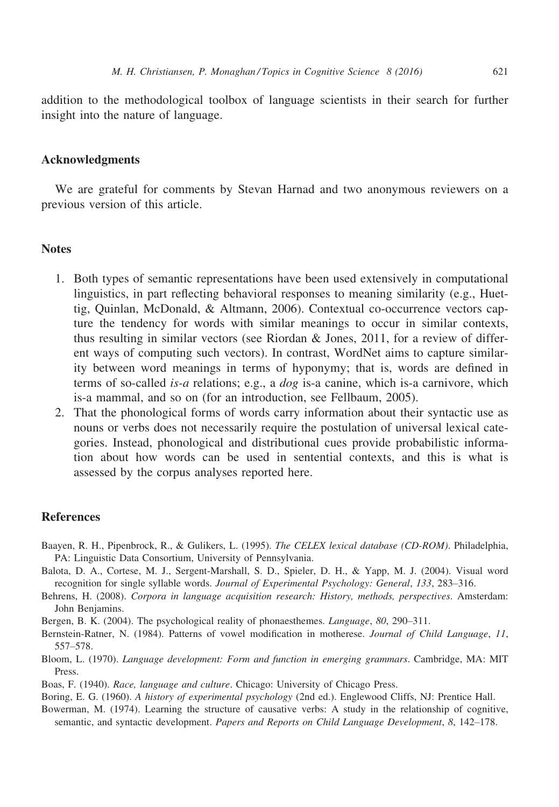addition to the methodological toolbox of language scientists in their search for further insight into the nature of language.

### Acknowledgments

We are grateful for comments by Stevan Harnad and two anonymous reviewers on a previous version of this article.

#### **Notes**

- 1. Both types of semantic representations have been used extensively in computational linguistics, in part reflecting behavioral responses to meaning similarity (e.g., Huettig, Quinlan, McDonald, & Altmann, 2006). Contextual co-occurrence vectors capture the tendency for words with similar meanings to occur in similar contexts, thus resulting in similar vectors (see Riordan & Jones, 2011, for a review of different ways of computing such vectors). In contrast, WordNet aims to capture similarity between word meanings in terms of hyponymy; that is, words are defined in terms of so-called is-a relations; e.g., a dog is-a canine, which is-a carnivore, which is-a mammal, and so on (for an introduction, see Fellbaum, 2005).
- 2. That the phonological forms of words carry information about their syntactic use as nouns or verbs does not necessarily require the postulation of universal lexical categories. Instead, phonological and distributional cues provide probabilistic information about how words can be used in sentential contexts, and this is what is assessed by the corpus analyses reported here.

## References

- Baayen, R. H., Pipenbrock, R., & Gulikers, L. (1995). The CELEX lexical database (CD-ROM). Philadelphia, PA: Linguistic Data Consortium, University of Pennsylvania.
- Balota, D. A., Cortese, M. J., Sergent-Marshall, S. D., Spieler, D. H., & Yapp, M. J. (2004). Visual word recognition for single syllable words. Journal of Experimental Psychology: General, 133, 283–316.
- Behrens, H. (2008). Corpora in language acquisition research: History, methods, perspectives. Amsterdam: John Benjamins.
- Bergen, B. K. (2004). The psychological reality of phonaesthemes. Language, 80, 290–311.
- Bernstein-Ratner, N. (1984). Patterns of vowel modification in motherese. Journal of Child Language, 11, 557–578.
- Bloom, L. (1970). Language development: Form and function in emerging grammars. Cambridge, MA: MIT Press.
- Boas, F. (1940). Race, language and culture. Chicago: University of Chicago Press.

Boring, E. G. (1960). A history of experimental psychology (2nd ed.). Englewood Cliffs, NJ: Prentice Hall.

Bowerman, M. (1974). Learning the structure of causative verbs: A study in the relationship of cognitive, semantic, and syntactic development. Papers and Reports on Child Language Development, 8, 142–178.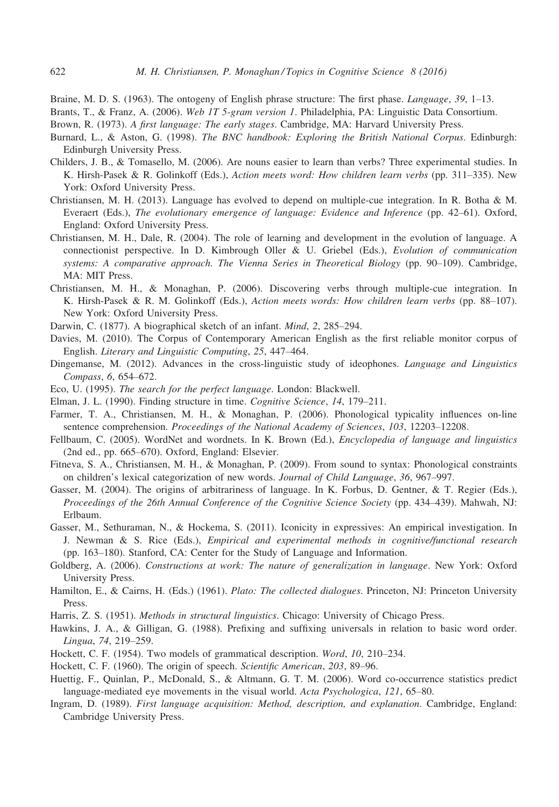- Braine, M. D. S. (1963). The ontogeny of English phrase structure: The first phase. Language, 39, 1–13.
- Brants, T., & Franz, A. (2006). Web 1T 5-gram version 1. Philadelphia, PA: Linguistic Data Consortium.
- Brown, R. (1973). A first language: The early stages. Cambridge, MA: Harvard University Press.
- Burnard, L., & Aston, G. (1998). The BNC handbook: Exploring the British National Corpus. Edinburgh: Edinburgh University Press.
- Childers, J. B., & Tomasello, M. (2006). Are nouns easier to learn than verbs? Three experimental studies. In K. Hirsh-Pasek & R. Golinkoff (Eds.), Action meets word: How children learn verbs (pp. 311–335). New York: Oxford University Press.
- Christiansen, M. H. (2013). Language has evolved to depend on multiple-cue integration. In R. Botha & M. Everaert (Eds.), The evolutionary emergence of language: Evidence and Inference (pp. 42–61). Oxford, England: Oxford University Press.
- Christiansen, M. H., Dale, R. (2004). The role of learning and development in the evolution of language. A connectionist perspective. In D. Kimbrough Oller & U. Griebel (Eds.), Evolution of communication systems: A comparative approach. The Vienna Series in Theoretical Biology (pp. 90-109). Cambridge, MA: MIT Press.
- Christiansen, M. H., & Monaghan, P. (2006). Discovering verbs through multiple-cue integration. In K. Hirsh-Pasek & R. M. Golinkoff (Eds.), Action meets words: How children learn verbs (pp. 88–107). New York: Oxford University Press.
- Darwin, C. (1877). A biographical sketch of an infant. Mind, 2, 285–294.
- Davies, M. (2010). The Corpus of Contemporary American English as the first reliable monitor corpus of English. Literary and Linguistic Computing, 25, 447–464.
- Dingemanse, M. (2012). Advances in the cross-linguistic study of ideophones. Language and Linguistics Compass, 6, 654–672.
- Eco, U. (1995). The search for the perfect language. London: Blackwell.
- Elman, J. L. (1990). Finding structure in time. Cognitive Science, 14, 179–211.
- Farmer, T. A., Christiansen, M. H., & Monaghan, P. (2006). Phonological typicality influences on-line sentence comprehension. Proceedings of the National Academy of Sciences, 103, 12203–12208.
- Fellbaum, C. (2005). WordNet and wordnets. In K. Brown (Ed.), *Encyclopedia of language and linguistics* (2nd ed., pp. 665–670). Oxford, England: Elsevier.
- Fitneva, S. A., Christiansen, M. H., & Monaghan, P. (2009). From sound to syntax: Phonological constraints on children's lexical categorization of new words. Journal of Child Language, 36, 967–997.
- Gasser, M. (2004). The origins of arbitrariness of language. In K. Forbus, D. Gentner, & T. Regier (Eds.), Proceedings of the 26th Annual Conference of the Cognitive Science Society (pp. 434–439). Mahwah, NJ: Erlbaum.
- Gasser, M., Sethuraman, N., & Hockema, S. (2011). Iconicity in expressives: An empirical investigation. In J. Newman & S. Rice (Eds.), Empirical and experimental methods in cognitive/functional research (pp. 163–180). Stanford, CA: Center for the Study of Language and Information.
- Goldberg, A. (2006). Constructions at work: The nature of generalization in language. New York: Oxford University Press.
- Hamilton, E., & Cairns, H. (Eds.) (1961). Plato: The collected dialogues. Princeton, NJ: Princeton University Press.
- Harris, Z. S. (1951). Methods in structural linguistics. Chicago: University of Chicago Press.
- Hawkins, J. A., & Gilligan, G. (1988). Prefixing and suffixing universals in relation to basic word order. Lingua, 74, 219–259.
- Hockett, C. F. (1954). Two models of grammatical description. Word, 10, 210–234.
- Hockett, C. F. (1960). The origin of speech. Scientific American, 203, 89–96.
- Huettig, F., Quinlan, P., McDonald, S., & Altmann, G. T. M. (2006). Word co-occurrence statistics predict language-mediated eye movements in the visual world. Acta Psychologica, 121, 65–80.
- Ingram, D. (1989). First language acquisition: Method, description, and explanation. Cambridge, England: Cambridge University Press.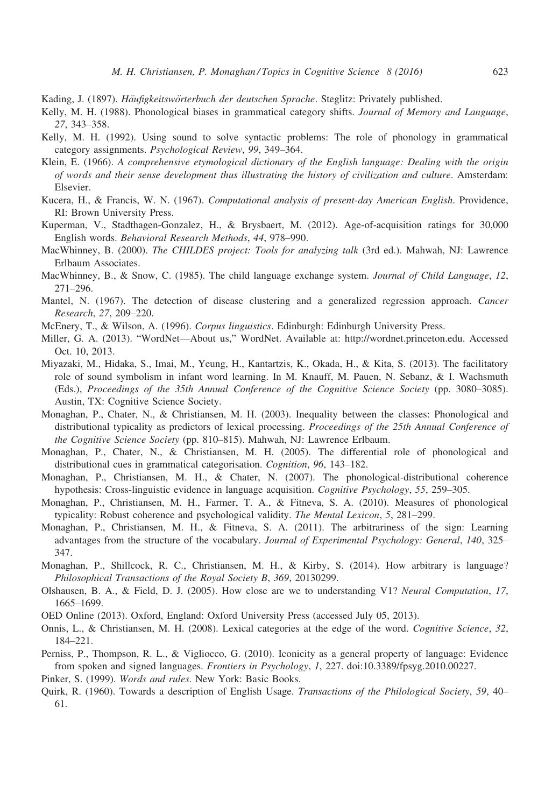- Kading, J. (1897). Häufigkeitswörterbuch der deutschen Sprache. Steglitz: Privately published.
- Kelly, M. H. (1988). Phonological biases in grammatical category shifts. Journal of Memory and Language, 27, 343–358.
- Kelly, M. H. (1992). Using sound to solve syntactic problems: The role of phonology in grammatical category assignments. Psychological Review, 99, 349–364.
- Klein, E. (1966). A comprehensive etymological dictionary of the English language: Dealing with the origin of words and their sense development thus illustrating the history of civilization and culture. Amsterdam: Elsevier.
- Kucera, H., & Francis, W. N. (1967). Computational analysis of present-day American English. Providence, RI: Brown University Press.
- Kuperman, V., Stadthagen-Gonzalez, H., & Brysbaert, M. (2012). Age-of-acquisition ratings for 30,000 English words. Behavioral Research Methods, 44, 978–990.
- MacWhinney, B. (2000). The CHILDES project: Tools for analyzing talk (3rd ed.). Mahwah, NJ: Lawrence Erlbaum Associates.
- MacWhinney, B., & Snow, C. (1985). The child language exchange system. Journal of Child Language, 12, 271–296.
- Mantel, N. (1967). The detection of disease clustering and a generalized regression approach. Cancer Research, 27, 209–220.
- McEnery, T., & Wilson, A. (1996). Corpus linguistics. Edinburgh: Edinburgh University Press.
- Miller, G. A. (2013). "WordNet—About us," WordNet. Available at:<http://wordnet.princeton.edu>. Accessed Oct. 10, 2013.
- Miyazaki, M., Hidaka, S., Imai, M., Yeung, H., Kantartzis, K., Okada, H., & Kita, S. (2013). The facilitatory role of sound symbolism in infant word learning. In M. Knauff, M. Pauen, N. Sebanz, & I. Wachsmuth (Eds.), Proceedings of the 35th Annual Conference of the Cognitive Science Society (pp. 3080–3085). Austin, TX: Cognitive Science Society.
- Monaghan, P., Chater, N., & Christiansen, M. H. (2003). Inequality between the classes: Phonological and distributional typicality as predictors of lexical processing. Proceedings of the 25th Annual Conference of the Cognitive Science Society (pp. 810–815). Mahwah, NJ: Lawrence Erlbaum.
- Monaghan, P., Chater, N., & Christiansen, M. H. (2005). The differential role of phonological and distributional cues in grammatical categorisation. Cognition, 96, 143–182.
- Monaghan, P., Christiansen, M. H., & Chater, N. (2007). The phonological-distributional coherence hypothesis: Cross-linguistic evidence in language acquisition. Cognitive Psychology, 55, 259–305.
- Monaghan, P., Christiansen, M. H., Farmer, T. A., & Fitneva, S. A. (2010). Measures of phonological typicality: Robust coherence and psychological validity. The Mental Lexicon, 5, 281–299.
- Monaghan, P., Christiansen, M. H., & Fitneva, S. A. (2011). The arbitrariness of the sign: Learning advantages from the structure of the vocabulary. Journal of Experimental Psychology: General, 140, 325– 347.
- Monaghan, P., Shillcock, R. C., Christiansen, M. H., & Kirby, S. (2014). How arbitrary is language? Philosophical Transactions of the Royal Society B, 369, 20130299.
- Olshausen, B. A., & Field, D. J. (2005). How close are we to understanding V1? Neural Computation, 17, 1665–1699.
- OED Online (2013). Oxford, England: Oxford University Press (accessed July 05, 2013).
- Onnis, L., & Christiansen, M. H. (2008). Lexical categories at the edge of the word. Cognitive Science, 32, 184–221.
- Perniss, P., Thompson, R. L., & Vigliocco, G. (2010). Iconicity as a general property of language: Evidence from spoken and signed languages. Frontiers in Psychology, 1, 227. doi:[10.3389/fpsyg.2010.00227](http://dx.doi.org/10.3389/fpsyg.2010.00227).
- Pinker, S. (1999). Words and rules. New York: Basic Books.
- Quirk, R. (1960). Towards a description of English Usage. Transactions of the Philological Society, 59, 40– 61.